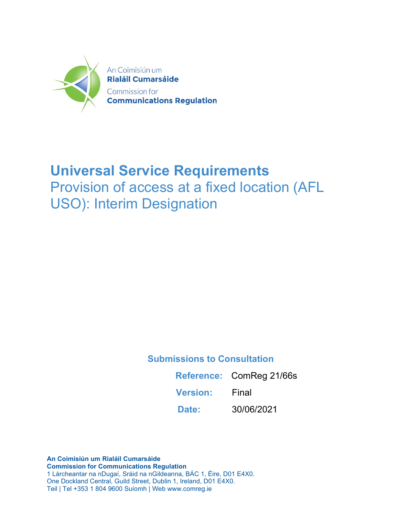

## **Universal Service Requirements**

Provision of access at a fixed location (AFL USO): Interim Designation

**Submissions to Consultation** 

**Reference:** ComReg 21/66s

**Version:** Final

**Date:** 30/06/2021

**An Coimisiún um Rialáil Cumarsáide Commission for Communications Regulation** 1 Lárcheantar na nDugaí, Sráid na nGildeanna, BÁC 1, Éire, D01 E4X0. One Dockland Central, Guild Street, Dublin 1, Ireland, D01 E4X0. Teil | Tel +353 1 804 9600 Suíomh | Web www.comreg.ie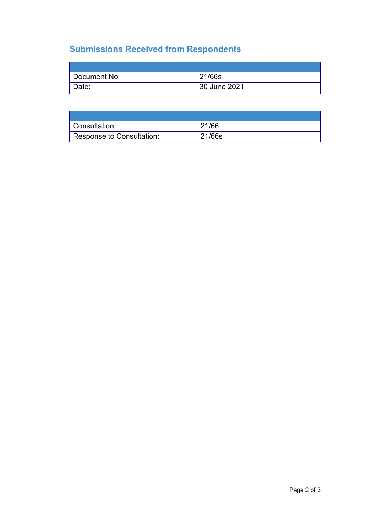### **Submissions Received from Respondents**

| Document No: | 21/66s       |
|--------------|--------------|
| Date:        | 30 June 2021 |

| Consultation:             | 21/66  |
|---------------------------|--------|
| Response to Consultation: | 21/66s |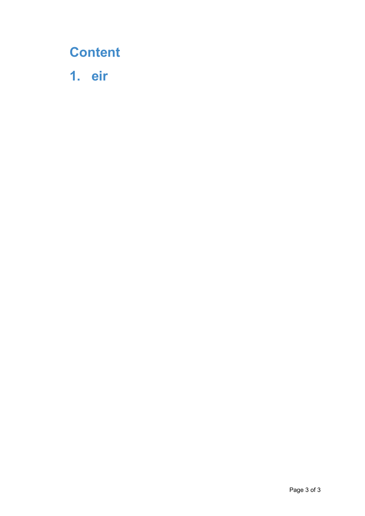# **Content**

**1. eir**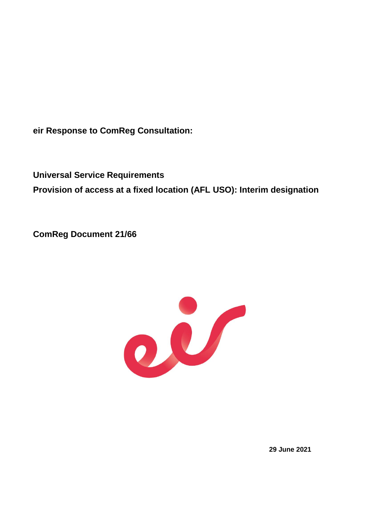**eir Response to ComReg Consultation:**

**Universal Service Requirements Provision of access at a fixed location (AFL USO): Interim designation**

**ComReg Document 21/66**



**29 June 2021**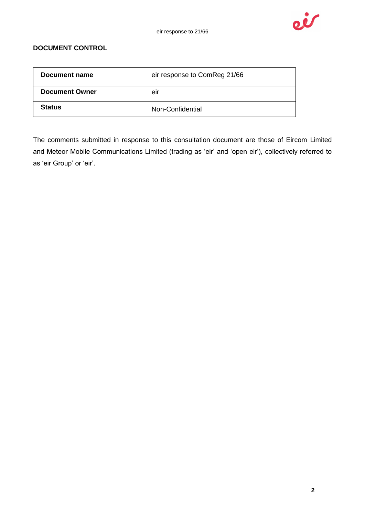

### **DOCUMENT CONTROL**

| Document name         | eir response to ComReg 21/66 |
|-----------------------|------------------------------|
| <b>Document Owner</b> | eır                          |
| <b>Status</b>         | Non-Confidential             |

The comments submitted in response to this consultation document are those of Eircom Limited and Meteor Mobile Communications Limited (trading as 'eir' and 'open eir'), collectively referred to as 'eir Group' or 'eir'.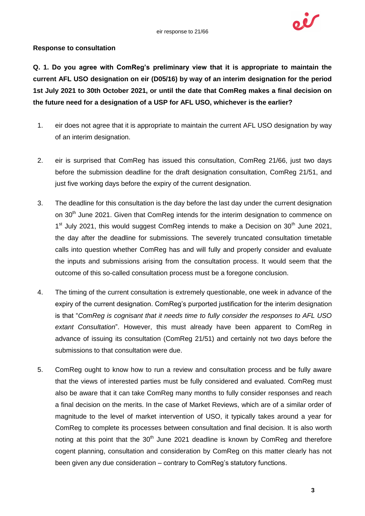

#### **Response to consultation**

**Q. 1. Do you agree with ComReg's preliminary view that it is appropriate to maintain the current AFL USO designation on eir (D05/16) by way of an interim designation for the period 1st July 2021 to 30th October 2021, or until the date that ComReg makes a final decision on the future need for a designation of a USP for AFL USO, whichever is the earlier?**

- 1. eir does not agree that it is appropriate to maintain the current AFL USO designation by way of an interim designation.
- 2. eir is surprised that ComReg has issued this consultation, ComReg 21/66, just two days before the submission deadline for the draft designation consultation, ComReg 21/51, and just five working days before the expiry of the current designation.
- 3. The deadline for this consultation is the day before the last day under the current designation on 30<sup>th</sup> June 2021. Given that ComReg intends for the interim designation to commence on 1<sup>st</sup> July 2021, this would suggest ComReg intends to make a Decision on 30<sup>th</sup> June 2021, the day after the deadline for submissions. The severely truncated consultation timetable calls into question whether ComReg has and will fully and properly consider and evaluate the inputs and submissions arising from the consultation process. It would seem that the outcome of this so-called consultation process must be a foregone conclusion.
- 4. The timing of the current consultation is extremely questionable, one week in advance of the expiry of the current designation. ComReg's purported justification for the interim designation is that "*ComReg is cognisant that it needs time to fully consider the responses to AFL USO extant Consultation*". However, this must already have been apparent to ComReg in advance of issuing its consultation (ComReg 21/51) and certainly not two days before the submissions to that consultation were due.
- 5. ComReg ought to know how to run a review and consultation process and be fully aware that the views of interested parties must be fully considered and evaluated. ComReg must also be aware that it can take ComReg many months to fully consider responses and reach a final decision on the merits. In the case of Market Reviews, which are of a similar order of magnitude to the level of market intervention of USO, it typically takes around a year for ComReg to complete its processes between consultation and final decision. It is also worth noting at this point that the  $30<sup>th</sup>$  June 2021 deadline is known by ComReg and therefore cogent planning, consultation and consideration by ComReg on this matter clearly has not been given any due consideration – contrary to ComReg's statutory functions.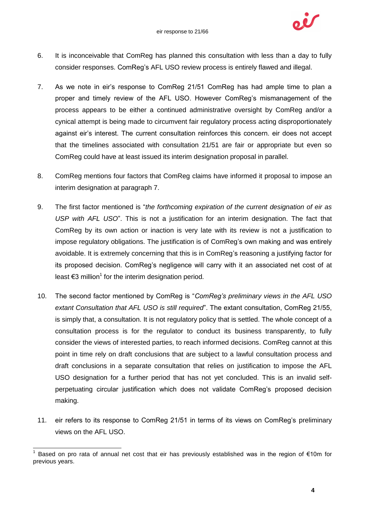

- 6. It is inconceivable that ComReg has planned this consultation with less than a day to fully consider responses. ComReg's AFL USO review process is entirely flawed and illegal.
- 7. As we note in eir's response to ComReg 21/51 ComReg has had ample time to plan a proper and timely review of the AFL USO. However ComReg's mismanagement of the process appears to be either a continued administrative oversight by ComReg and/or a cynical attempt is being made to circumvent fair regulatory process acting disproportionately against eir's interest. The current consultation reinforces this concern. eir does not accept that the timelines associated with consultation 21/51 are fair or appropriate but even so ComReg could have at least issued its interim designation proposal in parallel.
- 8. ComReg mentions four factors that ComReg claims have informed it proposal to impose an interim designation at paragraph 7.
- 9. The first factor mentioned is "*the forthcoming expiration of the current designation of eir as USP with AFL USO*". This is not a justification for an interim designation. The fact that ComReg by its own action or inaction is very late with its review is not a justification to impose regulatory obligations. The justification is of ComReg's own making and was entirely avoidable. It is extremely concerning that this is in ComReg's reasoning a justifying factor for its proposed decision. ComReg's negligence will carry with it an associated net cost of at least  $\epsilon$ 3 million<sup>1</sup> for the interim designation period.
- 10. The second factor mentioned by ComReg is "*ComReg's preliminary views in the AFL USO extant Consultation that AFL USO is still required*". The extant consultation, ComReg 21/55, is simply that, a consultation. It is not regulatory policy that is settled. The whole concept of a consultation process is for the regulator to conduct its business transparently, to fully consider the views of interested parties, to reach informed decisions. ComReg cannot at this point in time rely on draft conclusions that are subject to a lawful consultation process and draft conclusions in a separate consultation that relies on justification to impose the AFL USO designation for a further period that has not yet concluded. This is an invalid selfperpetuating circular justification which does not validate ComReg's proposed decision making.
- 11. eir refers to its response to ComReg 21/51 in terms of its views on ComReg's preliminary views on the AFL USO.

 $\overline{\phantom{a}}$ 1 Based on pro rata of annual net cost that eir has previously established was in the region of €10m for previous years.